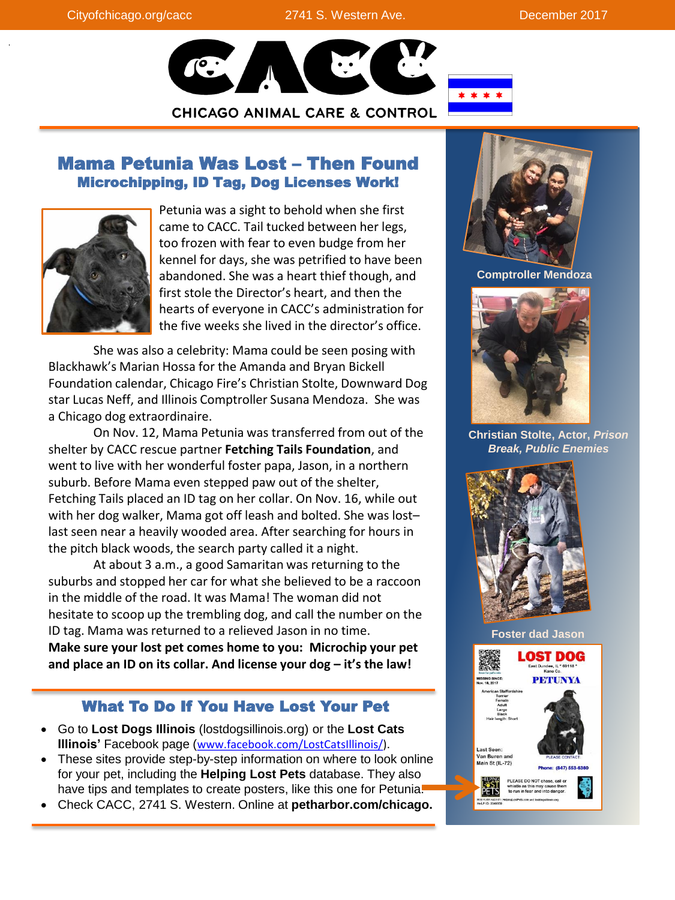

# Mama Petunia Was Lost – Then Found Microchipping, ID Tag, Dog Licenses Work!



Petunia was a sight to behold when she first came to CACC. Tail tucked between her legs, too frozen with fear to even budge from her kennel for days, she was petrified to have been abandoned. She was a heart thief though, and first stole the Director's heart, and then the hearts of everyone in CACC's administration for the five weeks she lived in the director's office.

She was also a celebrity: Mama could be seen posing with Blackhawk's Marian Hossa for the Amanda and Bryan Bickell Foundation calendar, Chicago Fire's Christian Stolte, Downward Dog star Lucas Neff, and Illinois Comptroller Susana Mendoza. She was a Chicago dog extraordinaire.

On Nov. 12, Mama Petunia was transferred from out of the shelter by CACC rescue partner **Fetching Tails Foundation**, and went to live with her wonderful foster papa, Jason, in a northern suburb. Before Mama even stepped paw out of the shelter, Fetching Tails placed an ID tag on her collar. On Nov. 16, while out with her dog walker, Mama got off leash and bolted. She was lost– last seen near a heavily wooded area. After searching for hours in the pitch black woods, the search party called it a night.

At about 3 a.m., a good Samaritan was returning to the suburbs and stopped her car for what she believed to be a raccoon in the middle of the road. It was Mama! The woman did not hesitate to scoop up the trembling dog, and call the number on the ID tag. Mama was returned to a relieved Jason in no time. **Make sure your lost pet comes home to you: Microchip your pet and place an ID on its collar. And license your dog – it's the law!** 

## What To Do If You Have Lost Your Pet

- Go to **Lost Dogs Illinois** (lostdogsillinois.org) or the **Lost Cats Illinois'** Facebook page ([www.facebook.com/LostCatsIllinois/](http://www.facebook.com/LostCatsIllinois/)).
- These sites provide step-by-step information on where to look online for your pet, including the **Helping Lost Pets** database. They also have tips and templates to create posters, like this one for Petunia.
- Check CACC, 2741 S. Western. Online at **petharbor.com/chicago.**



**Comptroller Mendoza** 



**Christian Stolte, Actor,** *Prison Break, Public Enemies*



**Foster dad Jason**